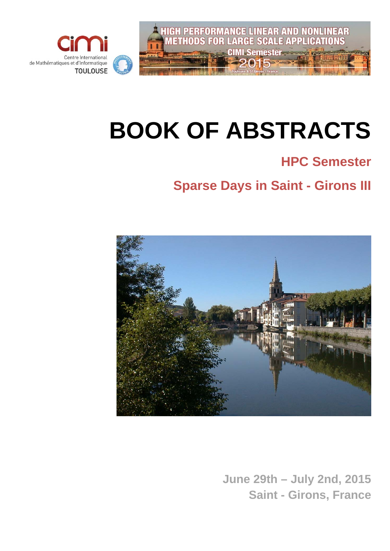

# **BOOK OF ABSTRACTS**

# **HPC Semester**

# **Sparse Days in Saint - Girons III**



**June 29th – July 2nd, 2015 Saint - Girons, France**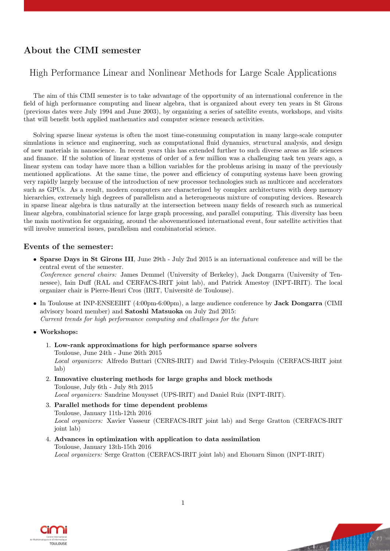# About the CIMI semester

### High Performance Linear and Nonlinear Methods for Large Scale Applications

The aim of this CIMI semester is to take advantage of the opportunity of an international conference in the field of high performance computing and linear algebra, that is organized about every ten years in St Girons (previous dates were July 1994 and June 2003), by organizing a series of satellite events, workshops, and visits that will benefit both applied mathematics and computer science research activities.

Solving sparse linear systems is often the most time-consuming computation in many large-scale computer simulations in science and engineering, such as computational fluid dynamics, structural analysis, and design of new materials in nanoscience. In recent years this has extended further to such diverse areas as life sciences and finance. If the solution of linear systems of order of a few million was a challenging task ten years ago, a linear system can today have more than a billion variables for the problems arising in many of the previously mentioned applications. At the same time, the power and efficiency of computing systems have been growing very rapidly largely because of the introduction of new processor technologies such as multicore and accelerators such as GPUs. As a result, modern computers are characterized by complex architectures with deep memory hierarchies, extremely high degrees of parallelism and a heterogeneous mixture of computing devices. Research in sparse linear algebra is thus naturally at the intersection between many fields of research such as numerical linear algebra, combinatorial science for large graph processing, and parallel computing. This diversity has been the main motivation for organizing, around the abovementioned international event, four satellite activities that will involve numerical issues, parallelism and combinatorial science.

#### Events of the semester:

• Sparse Days in St Girons III, June 29th - July 2nd 2015 is an international conference and will be the central event of the semester.

Conference general chairs: James Demmel (University of Berkeley), Jack Dongarra (University of Tennessee), Iain Duff (RAL and CERFACS-IRIT joint lab), and Patrick Amestoy (INPT-IRIT). The local organizer chair is Pierre-Henri Cros (IRIT, Université de Toulouse).

- In Toulouse at INP-ENSEEIHT (4:00pm-6:00pm), a large audience conference by Jack Dongarra (CIMI advisory board member) and Satoshi Matsuoka on July 2nd 2015: Current trends for high performance computing and challenges for the future
- Workshops:
	- 1. Low-rank approximations for high performance sparse solvers Toulouse, June 24th - June 26th 2015 Local organizers: Alfredo Buttari (CNRS-IRIT) and David Titley-Peloquin (CERFACS-IRIT joint lab)
	- 2. Innovative clustering methods for large graphs and block methods Toulouse, July 6th - July 8th 2015 Local organizers: Sandrine Mouysset (UPS-IRIT) and Daniel Ruiz (INPT-IRIT).
	- 3. Parallel methods for time dependent problems Toulouse, January 11th-12th 2016 Local organizers: Xavier Vasseur (CERFACS-IRIT joint lab) and Serge Gratton (CERFACS-IRIT joint lab)
	- 4. Advances in optimization with application to data assimilation Toulouse, January 13th-15th 2016 Local organizers: Serge Gratton (CERFACS-IRIT joint lab) and Ehouarn Simon (INPT-IRIT)



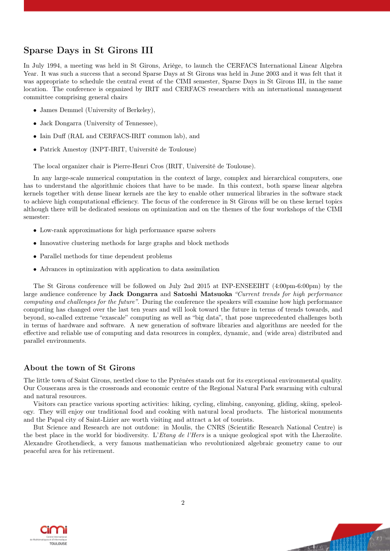## Sparse Days in St Girons III

In July 1994, a meeting was held in St Girons, Ariège, to launch the CERFACS International Linear Algebra Year. It was such a success that a second Sparse Days at St Girons was held in June 2003 and it was felt that it was appropriate to schedule the central event of the CIMI semester, Sparse Days in St Girons III, in the same location. The conference is organized by IRIT and CERFACS researchers with an international management committee comprising general chairs

- James Demmel (University of Berkeley),
- Jack Dongarra (University of Tennessee).
- Iain Duff (RAL and CERFACS-IRIT common lab), and
- Patrick Amestoy (INPT-IRIT, Université de Toulouse)

The local organizer chair is Pierre-Henri Cros (IRIT, Université de Toulouse).

In any large-scale numerical computation in the context of large, complex and hierarchical computers, one has to understand the algorithmic choices that have to be made. In this context, both sparse linear algebra kernels together with dense linear kernels are the key to enable other numerical libraries in the software stack to achieve high computational efficiency. The focus of the conference in St Girons will be on these kernel topics although there will be dedicated sessions on optimization and on the themes of the four workshops of the CIMI semester:

- Low-rank approximations for high performance sparse solvers
- Innovative clustering methods for large graphs and block methods
- Parallel methods for time dependent problems
- Advances in optimization with application to data assimilation

The St Girons conference will be followed on July 2nd 2015 at INP-ENSEEIHT (4:00pm-6:00pm) by the large audience conference by **Jack Dongarra** and **Satoshi Matsuoka** "Current trends for high performance computing and challenges for the future". During the conference the speakers will examine how high performance computing has changed over the last ten years and will look toward the future in terms of trends towards, and beyond, so-called extreme "exascale" computing as well as "big data", that pose unprecedented challenges both in terms of hardware and software. A new generation of software libraries and algorithms are needed for the effective and reliable use of computing and data resources in complex, dynamic, and (wide area) distributed and parallel environments.

#### About the town of St Girons

The little town of Saint Girons, nestled close to the Pyrénées stands out for its exceptional environmental quality. Our Couserans area is the crossroads and economic centre of the Regional Natural Park swarming with cultural and natural resources.

Visitors can practice various sporting activities: hiking, cycling, climbing, canyoning, gliding, skiing, speleology. They will enjoy our traditional food and cooking with natural local products. The historical monuments and the Papal city of Saint-Lizier are worth visiting and attract a lot of tourists.

But Science and Research are not outdone: in Moulis, the CNRS (Scientific Research National Centre) is the best place in the world for biodiversity. L'Etang de l'Hers is a unique geological spot with the Lherzolite. Alexandre Grothendieck, a very famous mathematician who revolutionized algebraic geometry came to our peaceful area for his retirement.

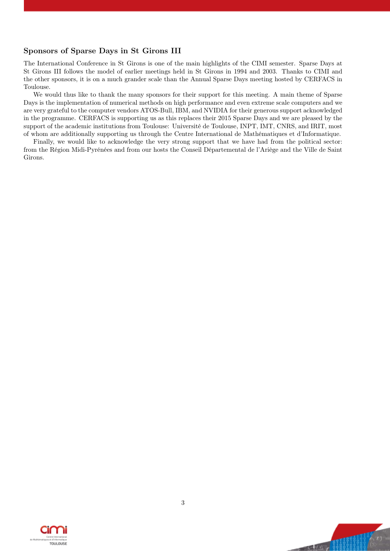#### Sponsors of Sparse Days in St Girons III

The International Conference in St Girons is one of the main highlights of the CIMI semester. Sparse Days at St Girons III follows the model of earlier meetings held in St Girons in 1994 and 2003. Thanks to CIMI and the other sponsors, it is on a much grander scale than the Annual Sparse Days meeting hosted by CERFACS in Toulouse.

We would thus like to thank the many sponsors for their support for this meeting. A main theme of Sparse Days is the implementation of numerical methods on high performance and even extreme scale computers and we are very grateful to the computer vendors ATOS-Bull, IBM, and NVIDIA for their generous support acknowledged in the programme. CERFACS is supporting us as this replaces their 2015 Sparse Days and we are pleased by the support of the academic institutions from Toulouse: Université de Toulouse, INPT, IMT, CNRS, and IRIT, most of whom are additionally supporting us through the Centre International de Mathématiques et d'Informatique.

Finally, we would like to acknowledge the very strong support that we have had from the political sector: from the Région Midi-Pyrénées and from our hosts the Conseil Départemental de l'Ariège and the Ville de Saint Girons.



Va, Wil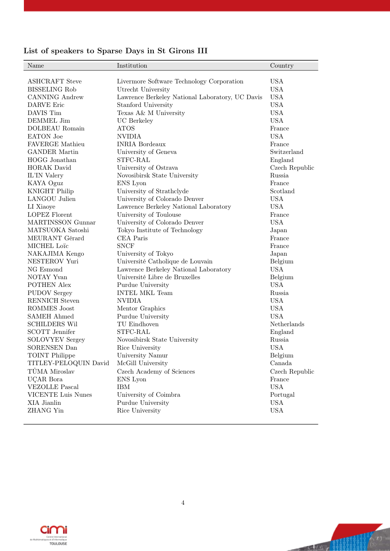| Name                      | Institution                                     | Country        |
|---------------------------|-------------------------------------------------|----------------|
| <b>ASHCRAFT</b> Steve     | Livermore Software Technology Corporation       | <b>USA</b>     |
| <b>BISSELING Rob</b>      | Utrecht University                              | <b>USA</b>     |
| <b>CANNING Andrew</b>     | Lawrence Berkeley National Laboratory, UC Davis | <b>USA</b>     |
| DARVE Eric                | Stanford University                             | <b>USA</b>     |
| DAVIS Tim                 | Texas A& M University                           | <b>USA</b>     |
| DEMMEL Jim                | UC Berkeley                                     | <b>USA</b>     |
| DOLBEAU Romain            | <b>ATOS</b>                                     | France         |
| <b>EATON</b> Joe          | <b>NVIDIA</b>                                   | <b>USA</b>     |
| <b>FAVERGE Mathieu</b>    | <b>INRIA Bordeaux</b>                           | France         |
| <b>GANDER Martin</b>      | University of Geneva                            | Switzerland    |
| HOGG Jonathan             | STFC-RAL                                        | England        |
| <b>HORAK</b> David        | University of Ostrava                           | Czech Republic |
| IL'IN Valery              | Novosibirsk State University                    | Russia         |
| KAYA Oguz                 | ENS Lyon                                        | France         |
| <b>KNIGHT Philip</b>      | University of Strathclyde                       | Scotland       |
| <b>LANGOU Julien</b>      | University of Colorado Denver                   | <b>USA</b>     |
| LI Xiaoye                 | Lawrence Berkeley National Laboratory           | <b>USA</b>     |
| <b>LOPEZ Florent</b>      | University of Toulouse                          | France         |
| <b>MARTINSSON Gunnar</b>  | University of Colorado Denver                   | <b>USA</b>     |
| MATSUOKA Satoshi          | Tokyo Institute of Technology                   | Japan          |
| MEURANT Gérard            | CEA Paris                                       | France         |
| MICHEL Loïc               | <b>SNCF</b>                                     | France         |
| NAKAJIMA Kengo            | University of Tokyo                             | Japan          |
| NESTEROV Yuri             | Université Catholique de Louvain                | Belgium        |
| NG Esmond                 | Lawrence Berkeley National Laboratory           | <b>USA</b>     |
| NOTAY Yvan                | Université Libre de Bruxelles                   | Belgium        |
| <b>POTHEN Alex</b>        | Purdue University                               | <b>USA</b>     |
| <b>PUDOV</b> Sergey       | <b>INTEL MKL Team</b>                           | Russia         |
| <b>RENNICH Steven</b>     | <b>NVIDIA</b>                                   | <b>USA</b>     |
| ROMMES Joost              | Mentor Graphics                                 | <b>USA</b>     |
| <b>SAMEH Ahmed</b>        | Purdue University                               | <b>USA</b>     |
| <b>SCHILDERS Wil</b>      | TU Eindhoven                                    | Netherlands    |
| <b>SCOTT</b> Jennifer     | STFC-RAL                                        | England        |
| <b>SOLOVYEV Sergey</b>    | Novosibirsk State University                    | Russia         |
| SORENSEN Dan              | Rice University                                 | <b>USA</b>     |
| <b>TOINT Philippe</b>     | University Namur                                | Belgium        |
| TITLEY-PELOQUIN David     | McGill University                               | Canada         |
| TŮMA Miroslav             | Czech Academy of Sciences                       | Czech Republic |
| <b>UCAR</b> Bora          | ENS Lyon                                        | France         |
| <b>VEZOLLE Pascal</b>     | <b>IBM</b>                                      | <b>USA</b>     |
| <b>VICENTE Luis Nunes</b> | University of Coimbra                           | Portugal       |
| XIA Jianlin               | Purdue University                               | <b>USA</b>     |
| <b>ZHANG Yin</b>          | Rice University                                 | <b>USA</b>     |
|                           |                                                 |                |

# List of speakers to Sparse Days in St Girons III



 $\begin{pmatrix} 1 & t \\ 0 & t \end{pmatrix}$ 

**The Million**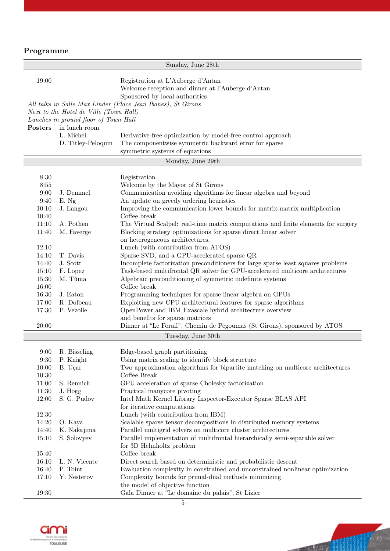# Programme

|                    |                                        | Sunday, June 28th                                                                                                                             |  |  |
|--------------------|----------------------------------------|-----------------------------------------------------------------------------------------------------------------------------------------------|--|--|
| 19:00              |                                        | Registration at L'Auberge d'Antan<br>Welcome reception and dinner at l'Auberge d'Antan<br>Sponsored by local authorities                      |  |  |
|                    |                                        | All talks in Salle Max Linder (Place Jean Ibanes), St Girons                                                                                  |  |  |
|                    | Next to the Hotel de Ville (Town Hall) |                                                                                                                                               |  |  |
|                    | Lunches in ground floor of Town Hall   |                                                                                                                                               |  |  |
| Posters            | in lunch room                          |                                                                                                                                               |  |  |
|                    | L. Michel                              | Derivative-free optimization by model-free control approach                                                                                   |  |  |
|                    | D. Titley-Peloquin                     | The componentwise symmetric backward error for sparse                                                                                         |  |  |
|                    |                                        | symmetric systems of equations                                                                                                                |  |  |
| Monday, June 29th  |                                        |                                                                                                                                               |  |  |
|                    |                                        |                                                                                                                                               |  |  |
| 8:30<br>8:55       |                                        | Registration<br>Welcome by the Mayor of St Girons                                                                                             |  |  |
| 9:00               | J. Demmel                              | Communication avoiding algorithms for linear algebra and beyond                                                                               |  |  |
| 9:40               | E. Ng                                  | An update on greedy ordering heuristics                                                                                                       |  |  |
| 10:10              | J. Langou                              | Improving the communication lower bounds for matrix-matrix multiplication                                                                     |  |  |
| 10:40              |                                        | Coffee break                                                                                                                                  |  |  |
| 11:10              | A. Pothen                              | The Virtual Scalpel: real-time matrix computations and finite elements for surgery                                                            |  |  |
| 11:40              | M. Faverge                             | Blocking strategy optimizations for sparse direct linear solver                                                                               |  |  |
|                    |                                        | on heterogeneous architectures.                                                                                                               |  |  |
| 12:10              |                                        | Lunch (with contribution from ATOS)                                                                                                           |  |  |
| 14:10              | T. Davis                               | Sparse SVD, and a GPU-accelerated sparse QR                                                                                                   |  |  |
| 14:40              | J. Scott                               | Incomplete factorization preconditioners for large sparse least squares problems                                                              |  |  |
| 15:10<br>15:30     | F. Lopez<br>M. Tůma                    | Task-based multifrontal QR solver for GPU-accelerated multicore architectures<br>Algebraic preconditioning of symmetric indefinite systems    |  |  |
| 16:00              |                                        | Coffee break                                                                                                                                  |  |  |
| 16:30              | J. Eaton                               | Programming techniques for sparse linear algebra on GPUs                                                                                      |  |  |
| 17:00              | R. Dolbeau                             | Exploiting new CPU architectural features for sparse algorithms                                                                               |  |  |
| 17:30              | P. Vezolle                             | OpenPower and IBM Exascale hybrid architecture overview                                                                                       |  |  |
|                    |                                        | and benefits for sparse matrices                                                                                                              |  |  |
| 20:00              |                                        | Dinner at "Le Forail", Chemin de Pégoumas (St Girons), sponsored by ATOS                                                                      |  |  |
| Tuesday, June 30th |                                        |                                                                                                                                               |  |  |
|                    | 9:00 R. Bisseling                      | Edge-based graph partitioning                                                                                                                 |  |  |
| 9:30               | P. Knight                              | Using matrix scaling to identify block structure                                                                                              |  |  |
| 10:00              | B. Uçar                                | Two approximation algorithms for bipartite matching on multicore architectures                                                                |  |  |
| 10:30              |                                        | Coffee Break                                                                                                                                  |  |  |
| 11:00              | S. Rennich                             | GPU acceleration of sparse Cholesky factorization                                                                                             |  |  |
| 11:30              | J. Hogg                                | Practical manycore pivoting                                                                                                                   |  |  |
| 12:00              | S. G. Pudov                            | Intel Math Kernel Library Inspector-Executor Sparse BLAS API                                                                                  |  |  |
|                    |                                        | for iterative computations                                                                                                                    |  |  |
| 12:30              |                                        | Lunch (with contribution from IBM)                                                                                                            |  |  |
| 14:20              | O. Kaya                                | Scalable sparse tensor decompositions in distributed memory systems                                                                           |  |  |
| 14:40<br>15:10     | K. Nakajima<br>S. Solovyev             | Parallel multigrid solvers on multicore cluster architectures<br>Parallel implementation of multifrontal hierarchically semi-separable solver |  |  |
|                    |                                        | for 3D Helmholtz problem                                                                                                                      |  |  |
| 15:40              |                                        | Coffee break                                                                                                                                  |  |  |
| 16:10              | L. N. Vicente                          | Direct search based on deterministic and probabilistic descent                                                                                |  |  |
| 16:40              | P. Toint                               | Evaluation complexity in constrained and unconstrained nonlinear optimization                                                                 |  |  |
| 17:10              | Y. Nesterov                            | Complexity bounds for primal-dual methods minimizing                                                                                          |  |  |
|                    |                                        | the model of objective function                                                                                                               |  |  |
| 19:30              |                                        | Gala Dinner at "Le domaine du palais", St Lizier                                                                                              |  |  |





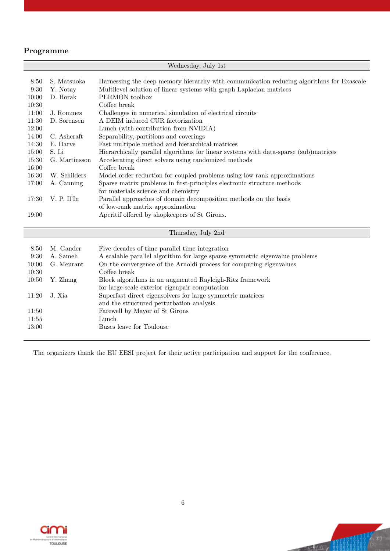### Programme

| Wednesday, July 1st |               |                                                                                          |  |  |
|---------------------|---------------|------------------------------------------------------------------------------------------|--|--|
|                     |               |                                                                                          |  |  |
| 8:50                | S. Matsuoka   | Harnessing the deep memory hierarchy with communication reducing algorithms for Exascale |  |  |
| 9:30                | Y. Notay      | Multilevel solution of linear systems with graph Laplacian matrices                      |  |  |
| 10:00               | D. Horak      | PERMON toolbox                                                                           |  |  |
| 10:30               |               | Coffee break                                                                             |  |  |
| 11:00               | J. Rommes     | Challenges in numerical simulation of electrical circuits                                |  |  |
| 11:30               | D. Sorensen   | A DEIM induced CUR factorization                                                         |  |  |
| 12:00               |               | Lunch (with contribution from NVIDIA)                                                    |  |  |
| 14:00               | C. Ashcraft   | Separability, partitions and coverings                                                   |  |  |
| 14:30               | E. Darve      | Fast multipole method and hierarchical matrices                                          |  |  |
| 15:00               | S. Li         | Hierarchically parallel algorithms for linear systems with data-sparse (sub)matrices     |  |  |
| 15:30               | G. Martinsson | Accelerating direct solvers using randomized methods                                     |  |  |
| 16:00               |               | Coffee break                                                                             |  |  |
| 16:30               | W. Schilders  | Model order reduction for coupled problems using low rank approximations                 |  |  |
| 17:00               | A. Canning    | Sparse matrix problems in first-principles electronic structure methods                  |  |  |
|                     |               | for materials science and chemistry                                                      |  |  |
| 17:30               | V. P. Il'In   | Parallel approaches of domain decomposition methods on the basis                         |  |  |
|                     |               | of low-rank matrix approximation                                                         |  |  |
| 19:00               |               | Aperitif offered by shopkeepers of St Girons.                                            |  |  |
|                     |               |                                                                                          |  |  |
| Thursday, July 2nd  |               |                                                                                          |  |  |
|                     |               |                                                                                          |  |  |
| 8:50                | M. Gander     | Five decades of time parallel time integration                                           |  |  |
| 9:30                | A. Sameh      | A scalable parallel algorithm for large sparse symmetric eigenvalue problems             |  |  |
| 10:00               | G. Meurant    | On the convergence of the Arnoldi process for computing eigenvalues                      |  |  |
| 10:30               |               | Coffee break                                                                             |  |  |
| 10:50               | Y. Zhang      | Block algorithms in an augmented Rayleigh-Ritz framework                                 |  |  |
|                     |               | for large-scale exterior eigenpair computation                                           |  |  |
| 11:20               | J. Xia        | Superfast direct eigensolvers for large symmetric matrices                               |  |  |
|                     |               | and the structured perturbation analysis                                                 |  |  |
| 11:50               |               | Farewell by Mayor of St Girons                                                           |  |  |
| 11:55               |               | Lunch                                                                                    |  |  |
| 13:00               |               | Buses leave for Toulouse                                                                 |  |  |
|                     |               |                                                                                          |  |  |

The organizers thank the EU EESI project for their active participation and support for the conference.



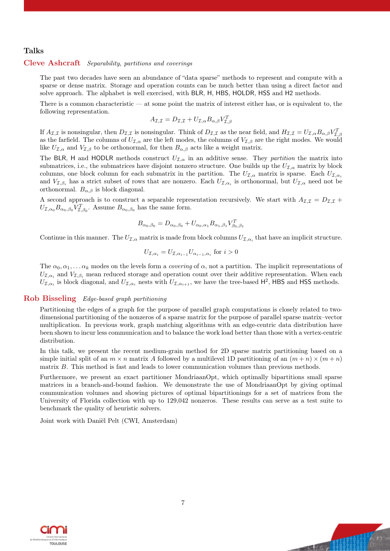#### Talks

#### Cleve Ashcraft Separability, partitions and coverings

The past two decades have seen an abundance of "data sparse" methods to represent and compute with a sparse or dense matrix. Storage and operation counts can be much better than using a direct factor and solve approach. The alphabet is well exercised, with BLR, H, HBS, HOLDR, HSS and H2 methods.

There is a common characteristic — at some point the matrix of interest either has, or is equivalent to, the following representation.

$$
A_{\mathcal{I},\mathcal{I}} = D_{\mathcal{I},\mathcal{I}} + U_{\mathcal{I},\alpha} B_{\alpha,\beta} V_{\mathcal{I},\beta}^T
$$

If  $A_{\mathcal{I},\mathcal{I}}$  is nonsingular, then  $D_{\mathcal{I},\mathcal{I}}$  is nonsingular. Think of  $D_{\mathcal{I},\mathcal{I}}$  as the near field, and  $H_{\mathcal{I},\mathcal{I}} = U_{\mathcal{I},\alpha} B_{\alpha,\beta} V_{\mathcal{I},\beta}^T$ as the farfield. The columns of  $U_{\mathcal{I},\alpha}$  are the left modes, the columns of  $V_{\mathcal{I},\beta}$  are the right modes. We would like  $U_{\mathcal{I},\alpha}$  and  $V_{\mathcal{I},\beta}$  to be orthonormal, for then  $B_{\alpha,\beta}$  acts like a weight matrix.

The BLR, H and HODLR methods construct  $U_{\mathcal{I},\alpha}$  in an additive sense. They *partition* the matrix into submatrices, i.e., the submatrices have disjoint nonzero structure. One builds up the  $U_{\mathcal{I},\alpha}$  matrix by block columns, one block column for each submatrix in the partition. The  $U_{\mathcal{I},\alpha}$  matrix is sparse. Each  $U_{\mathcal{I},\alpha_i}$ and  $V_{\mathcal{I},\beta_i}$  has a strict subset of rows that are nonzero. Each  $U_{\mathcal{I},\alpha_i}$  is orthonormal, but  $U_{\mathcal{I},\alpha_i}$  need not be orthonormal.  $B_{\alpha,\beta}$  is block diagonal.

A second approach is to construct a separable representation recursively. We start with  $A_{\mathcal{I},\mathcal{I}} = D_{\mathcal{I},\mathcal{I}} +$  $U_{\mathcal{I},\alpha_0} B_{\alpha_0,\beta_0} V_{\mathcal{I},\beta_0}^T$ . Assume  $B_{\alpha_0,\beta_0}$  has the same form.

$$
B_{\alpha_0,\beta_0} = D_{\alpha_0,\beta_0} + U_{\alpha_0,\alpha_1} B_{\alpha_1,\beta_1} V_{\beta_0,\beta_1}^T
$$

Continue in this manner. The  $U_{\mathcal{I},\alpha}$  matrix is made from block columns  $U_{\mathcal{I},\alpha_i}$  that have an implicit structure.

$$
U_{\mathcal{I},\alpha_i} = U_{\mathcal{I},\alpha_{i-1}} U_{\alpha_{i-1},\alpha_i} \text{ for } i > 0
$$

The  $\alpha_0, \alpha_1, \ldots, \alpha_k$  modes on the levels form a *covering* of  $\alpha$ , not a partition. The implicit representations of  $U_{\mathcal{I},\alpha_i}$  and  $V_{\mathcal{I},\beta_i}$  mean reduced storage and operation count over their additive representation. When each  $U_{\mathcal{I},\alpha_i}$  is block diagonal, and  $U_{\mathcal{I},\alpha_i}$  nests with  $U_{\mathcal{I},\alpha_{i+1}}$ , we have the tree-based  $H^2$ , HBS and HSS methods.

#### Rob Bisseling Edge-based graph partitioning

Partitioning the edges of a graph for the purpose of parallel graph computations is closely related to twodimensional partitioning of the nonzeros of a sparse matrix for the purpose of parallel sparse matrix–vector multiplication. In previous work, graph matching algorithms with an edge-centric data distribution have been shown to incur less communication and to balance the work load better than those with a vertex-centric distribution.

In this talk, we present the recent medium-grain method for 2D sparse matrix partitioning based on a simple initial split of an  $m \times n$  matrix A followed by a multilevel 1D partitioning of an  $(m+n) \times (m+n)$ matrix B. This method is fast and leads to lower communication volumes than previous methods.

Furthermore, we present an exact partitioner MondriaanOpt, which optimally bipartitions small sparse matrices in a branch-and-bound fashion. We demonstrate the use of MondriaanOpt by giving optimal communication volumes and showing pictures of optimal bipartitionings for a set of matrices from the University of Florida collection with up to 129,042 nonzeros. These results can serve as a test suite to benchmark the quality of heuristic solvers.

Joint work with Daniël Pelt (CWI, Amsterdam)



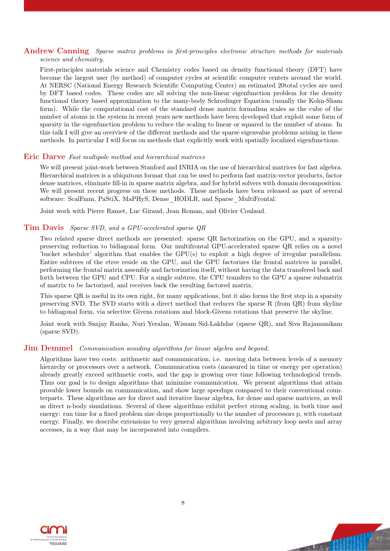#### Andrew Canning Sparse matrix problems in first-principles electronic structure methods for materials science and chemistry.

First-principles materials science and Chemistry codes based on density functional theory (DFT) have become the largest user (by method) of computer cycles at scientific computer centers around the world. At NERSC (National Energy Research Scientific Computing Center) an estimated 20total cycles are used by DFT based codes. These codes are all solving the non-linear eigenfunction problem for the density functional theory based approximation to the many-body Schrodinger Equation (usually the Kohn-Sham form). While the computational cost of the standard dense matrix formalism scales as the cube of the number of atoms in the system in recent years new methods have been developed that exploit some form of sparsity in the eigenfunction problem to reduce the scaling to linear or squared in the number of atoms. In this talk I will give an overview of the different methods and the sparse eigenvalue problems arising in these methods. In particular I will focus on methods that explicitly work with spatially localized eigenfunctions.

#### Eric Darve Fast multipole method and hierarchical matrices

We will present joint-work between Stanford and INRIA on the use of hierarchical matrices for fast algebra. Hierarchical matrices is a ubiquitous format that can be used to perform fast matrix-vector products, factor dense matrices, eliminate fill-in in sparse matrix algebra, and for hybrid solvers with domain decomposition. We will present recent progress on these methods. These methods have been released as part of several software: ScalFmm, PaStiX, MaPHyS, Dense\_HODLR, and Sparse\_MultiFrontal.

Joint work with Pierre Ramet, Luc Giraud, Jean Roman, and Olivier Coulaud.

#### Tim Davis Sparse SVD, and a GPU-accelerated sparse QR

Two related sparse direct methods are presented: sparse QR factorization on the GPU, and a sparsitypreserving reduction to bidiagonal form. Our multifrontal GPU-accelerated sparse QR relies on a novel 'bucket scheduler' algorithm that enables the GPU(s) to exploit a high degree of irregular parallelism. Entire subtrees of the etree reside on the GPU, and the GPU factorizes the frontal matrices in parallel, performing the frontal matrix assembly and factorization itself, without having the data transfered back and forth between the GPU and CPU. For a single subtree, the CPU transfers to the GPU a sparse submatrix of matrix to be factorized, and receives back the resulting factored matrix.

This sparse QR is useful in its own right, for many applications, but it also forms the first step in a sparsity preserving SVD. The SVD starts with a direct method that reduces the sparse R (from QR) from skyline to bidiagonal form, via selective Givens rotations and block-Givens rotations that preserve the skyline.

Joint work with Sanjay Ranka, Nuri Yeralan, Wissam Sid-Lakhdar (sparse QR), and Siva Rajamanikam (sparse SVD).

#### **Jim Demmel** Communication avoiding algorithms for linear algebra and beyond.

Algorithms have two costs: arithmetic and communication, i.e. moving data between levels of a memory hierarchy or processors over a network. Communication costs (measured in time or energy per operation) already greatly exceed arithmetic costs, and the gap is growing over time following technological trends. Thus our goal is to design algorithms that minimize communication. We present algorithms that attain provable lower bounds on communication, and show large speedups compared to their conventional counterparts. These algorithms are for direct and iterative linear algebra, for dense and sparse matrices, as well as direct n-body simulations. Several of these algorithms exhibit perfect strong scaling, in both time and energy: run time for a fixed problem size drops proportionally to the number of processors p, with constant energy. Finally, we describe extensions to very general algorithms involving arbitrary loop nests and array accesses, in a way that may be incorporated into compilers.



**Uny Wild**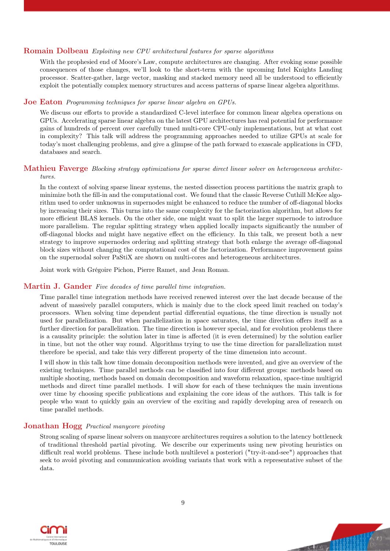#### Romain Dolbeau Exploiting new CPU architectural features for sparse algorithms

With the prophesied end of Moore's Law, compute architectures are changing. After evoking some possible consequences of those changes, we'll look to the short-term with the upcoming Intel Knights Landing processor. Scatter-gather, large vector, masking and stacked memory need all be understood to efficiently exploit the potentially complex memory structures and access patterns of sparse linear algebra algorithms.

#### Joe Eaton Programming techniques for sparse linear algebra on GPUs.

We discuss our efforts to provide a standardized C-level interface for common linear algebra operations on GPUs. Accelerating sparse linear algebra on the latest GPU architectures has real potential for performance gains of hundreds of percent over carefully tuned multi-core CPU-only implementations, but at what cost in complexity? This talk will address the programming approaches needed to utilize GPUs at scale for today's most challenging problems, and give a glimpse of the path forward to exascale applications in CFD, databases and search.

#### Mathieu Faverge Blocking strategy optimizations for sparse direct linear solver on heterogeneous architectures.

In the context of solving sparse linear systems, the nested dissection process partitions the matrix graph to minimize both the fill-in and the computational cost. We found that the classic Reverse Cuthill McKee algorithm used to order unknowns in supernodes might be enhanced to reduce the number of off-diagonal blocks by increasing their sizes. This turns into the same complexity for the factorization algorithm, but allows for more efficient BLAS kernels. On the other side, one might want to split the larger supernode to introduce more parallelism. The regular splitting strategy when applied locally impacts significantly the number of off-diagonal blocks and might have negative effect on the efficiency. In this talk, we present both a new strategy to improve supernodes ordering and splitting strategy that both enlarge the average off-diagonal block sizes without changing the computational cost of the factorization. Performance improvement gains on the supernodal solver PaStiX are shown on multi-cores and heterogeneous architectures.

Joint work with Grégoire Pichon, Pierre Ramet, and Jean Roman.

#### Martin J. Gander Five decades of time parallel time integration.

Time parallel time integration methods have received renewed interest over the last decade because of the advent of massively parallel computers, which is mainly due to the clock speed limit reached on today's processors. When solving time dependent partial differential equations, the time direction is usually not used for parallelization. But when parallelization in space saturates, the time direction offers itself as a further direction for parallelization. The time direction is however special, and for evolution problems there is a causality principle: the solution later in time is affected (it is even determined) by the solution earlier in time, but not the other way round. Algorithms trying to use the time direction for parallelization must therefore be special, and take this very different property of the time dimension into account.

I will show in this talk how time domain decomposition methods were invented, and give an overview of the existing techniques. Time parallel methods can be classified into four different groups: methods based on multiple shooting, methods based on domain decomposition and waveform relaxation, space-time multigrid methods and direct time parallel methods. I will show for each of these techniques the main inventions over time by choosing specific publications and explaining the core ideas of the authors. This talk is for people who want to quickly gain an overview of the exciting and rapidly developing area of research on time parallel methods.

#### Jonathan Hogg Practical manycore pivoting

Strong scaling of sparse linear solvers on manycore architectures requires a solution to the latency bottleneck of traditional threshold partial pivoting. We describe our experiments using new pivoting heuristics on difficult real world problems. These include both multilevel a posteriori ("try-it-and-see") approaches that seek to avoid pivoting and communication avoiding variants that work with a representative subset of the data.

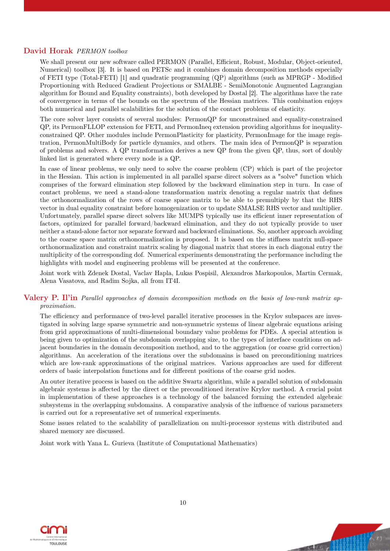#### David Horak PERMON toolbox

We shall present our new software called PERMON (Parallel, Efficient, Robust, Modular, Object-oriented, Numerical) toolbox [3]. It is based on PETSc and it combines domain decomposition methods especially of FETI type (Total-FETI) [1] and quadratic programming (QP) algorithms (such as MPRGP - Modified Proportioning with Reduced Gradient Projections or SMALBE - SemiMonotonic Augmented Lagrangian algorithm for Bound and Equality constraints), both developed by Dostal [2]. The algorithms have the rate of convergence in terms of the bounds on the spectrum of the Hessian matrices. This combination enjoys both numerical and parallel scalabilities for the solution of the contact problems of elasticity.

The core solver layer consists of several modules: PermonQP for unconstrained and equality-constrained QP, its PermonFLLOP extension for FETI, and PermonIneq extension providing algorithms for inequalityconstrained QP. Other modules include PermonPlasticity for plasticity, PermonImage for the image registration, PermonMultiBody for particle dynamics, and others. The main idea of PermonQP is separation of problems and solvers. A QP transformation derives a new QP from the given QP, thus, sort of doubly linked list is generated where every node is a QP.

In case of linear problems, we only need to solve the coarse problem (CP) which is part of the projector in the Hessian. This action is implemented in all parallel sparse direct solvers as a "solve" function which comprises of the forward elimination step followed by the backward elimination step in turn. In case of contact problems, we need a stand-alone transformation matrix denoting a regular matrix that defines the orthonormalization of the rows of coarse space matrix to be able to premultiply by that the RHS vector in dual equality constraint before homogenization or to update SMALSE RHS vector and multiplier. Unfortunately, parallel sparse direct solvers like MUMPS typically use its efficient inner representation of factors, optimized for parallel forward/backward elimination, and they do not typically provide to user neither a stand-alone factor nor separate forward and backward eliminations. So, another approach avoiding to the coarse space matrix orthonormalization is proposed. It is based on the stiffness matrix null-space orthonormalization and constraint matrix scaling by diagonal matrix that stores in each diagonal entry the multiplicity of the corresponding dof. Numerical experiments demonstrating the performance including the highlights with model and engineering problems will be presented at the conference.

Joint work with Zdenek Dostal, Vaclav Hapla, Lukas Pospisil, Alexandros Markopoulos, Martin Cermak, Alena Vasatova, and Radim Sojka, all from IT4I.

#### Valery P. Il'in Parallel approaches of domain decomposition methods on the basis of low-rank matrix approximation.

The efficiency and performance of two-level parallel iterative processes in the Krylov subspaces are investigated in solving large sparse symmetric and non-symmetric systems of linear algebraic equations arising from grid approximations of multi-dimensional boundary value problems for PDEs. A special attention is being given to optimization of the subdomain overlapping size, to the types of interface conditions on adjacent boundaries in the domain decomposition method, and to the aggregation (or coarse grid correction) algorithms. An acceleration of the iterations over the subdomains is based on preconditioning matrices which are low-rank approximations of the original matrices. Various approaches are used for different orders of basic interpolation functions and for different positions of the coarse grid nodes.

An outer iterative process is based on the additive Swartz algorithm, while a parallel solution of subdomain algebraic systems is affected by the direct or the preconditioned iterative Krylov method. A crucial point in implementation of these approaches is a technology of the balanced forming the extended algebraic subsystems in the overlapping subdomains. A comparative analysis of the influence of various parameters is carried out for a representative set of numerical experiments.

Some issues related to the scalability of parallelization on multi-processor systems with distributed and shared memory are discussed.

Joint work with Yana L. Gurieva (Institute of Computational Mathematics)



**Charling**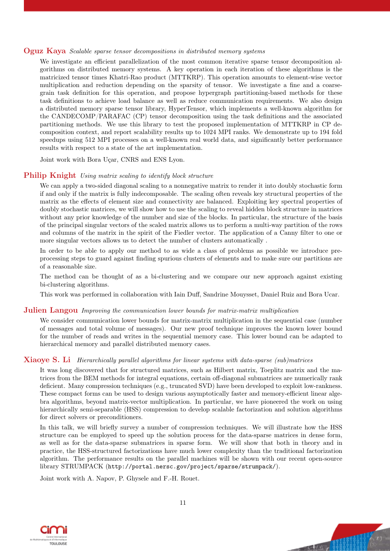#### Oguz Kaya Scalable sparse tensor decompositions in distributed memory systems

We investigate an efficient parallelization of the most common iterative sparse tensor decomposition algorithms on distributed memory systems. A key operation in each iteration of these algorithms is the matricized tensor times Khatri-Rao product (MTTKRP). This operation amounts to element-wise vector multiplication and reduction depending on the sparsity of tensor. We investigate a fine and a coarsegrain task definition for this operation, and propose hypergraph partitioning-based methods for these task definitions to achieve load balance as well as reduce communication requirements. We also design a distributed memory sparse tensor library, HyperTensor, which implements a well-known algorithm for the CANDECOMP/PARAFAC (CP) tensor decomposition using the task definitions and the associated partitioning methods. We use this library to test the proposed implementation of MTTKRP in CP decomposition context, and report scalability results up to 1024 MPI ranks. We demonstrate up to 194 fold speedups using 512 MPI processes on a well-known real world data, and significantly better performance results with respect to a state of the art implementation.

Joint work with Bora Uçar, CNRS and ENS Lyon.

#### Philip Knight Using matrix scaling to identify block structure

We can apply a two-sided diagonal scaling to a nonnegative matrix to render it into doubly stochastic form if and only if the matrix is fully indecomposable. The scaling often reveals key structural properties of the matrix as the effects of element size and connectivity are balanced. Exploiting key spectral properties of doubly stochastic matrices, we will show how to use the scaling to reveal hidden block structure in matrices without any prior knowledge of the number and size of the blocks. In particular, the structure of the basis of the principal singular vectors of the scaled matrix allows us to perform a multi-way partition of the rows and columns of the matrix in the spirit of the Fiedler vector. The application of a Canny filter to one or more singular vectors allows us to detect the number of clusters automatically .

In order to be able to apply our method to as wide a class of problems as possible we introduce preprocessing steps to guard against finding spurious clusters of elements and to make sure our partitions are of a reasonable size.

The method can be thought of as a bi-clustering and we compare our new approach against existing bi-clustering algorithms.

This work was performed in collaboration with Iain Duff, Sandrine Mouysset, Daniel Ruiz and Bora Ucar.

#### **Julien Langou** Improving the communication lower bounds for matrix-matrix multiplication

We consider communication lower bounds for matrix-matrix multiplication in the sequential case (number of messages and total volume of messages). Our new proof technique improves the known lower bound for the number of reads and writes in the sequential memory case. This lower bound can be adapted to hierarchical memory and parallel distributed memory cases.

#### Xiaoye S. Li Hierarchically parallel algorithms for linear systems with data-sparse (sub)matrices

It was long discovered that for structured matrices, such as Hilbert matrix, Toeplitz matrix and the matrices from the BEM methods for integral equations, certain off-diagonal submatrices are numerically rank deficient. Many compression techniques (e.g., truncated SVD) have been developed to exploit low-rankness. These compact forms can be used to design various asymptotically faster and memory-efficient linear algebra algorithms, beyond matrix-vector multiplication. In particular, we have pioneered the work on using hierarchically semi-separable (HSS) compression to develop scalable factorization and solution algorithms for direct solvers or preconditioners.

In this talk, we will briefly survey a number of compression techniques. We will illustrate how the HSS structure can be employed to speed up the solution process for the data-sparse matrices in dense form, as well as for the data-sparse submatrices in sparse form. We will show that both in theory and in practice, the HSS-structured factorizations have much lower complexity than the traditional factorization algorithm. The performance results on the parallel machines will be shown with our recent open-source library STRUMPACK (http://portal.nersc.gov/project/sparse/strumpack/).

Joint work with A. Napov, P. Ghysele and F.-H. Rouet.

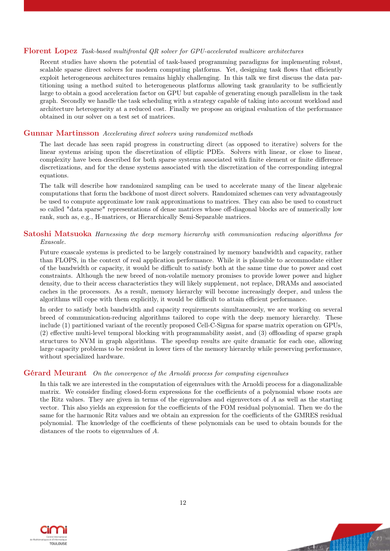#### Florent Lopez Task-based multifrontal QR solver for GPU-accelerated multicore architectures

Recent studies have shown the potential of task-based programming paradigms for implementing robust, scalable sparse direct solvers for modern computing platforms. Yet, designing task flows that efficiently exploit heterogeneous architectures remains highly challenging. In this talk we first discuss the data partitioning using a method suited to heterogeneous platforms allowing task granularity to be sufficiently large to obtain a good acceleration factor on GPU but capable of generating enough parallelism in the task graph. Secondly we handle the task scheduling with a strategy capable of taking into account workload and architecture heterogeneity at a reduced cost. Finally we propose an original evaluation of the performance obtained in our solver on a test set of matrices.

#### Gunnar Martinsson Accelerating direct solvers using randomized methods

The last decade has seen rapid progress in constructing direct (as opposed to iterative) solvers for the linear systems arising upon the discretization of elliptic PDEs. Solvers with linear, or close to linear, complexity have been described for both sparse systems associated with finite element or finite difference discretizations, and for the dense systems associated with the discretization of the corresponding integral equations.

The talk will describe how randomized sampling can be used to accelerate many of the linear algebraic computations that form the backbone of most direct solvers. Randomized schemes can very advantageously be used to compute approximate low rank approximations to matrices. They can also be used to construct so called "data sparse" representations of dense matrices whose off-diagonal blocks are of numerically low rank, such as, e.g., H-matrices, or Hierarchically Semi-Separable matrices.

#### Satoshi Matsuoka Harnessing the deep memory hierarchy with communication reducing algorithms for Exascale.

Future exascale systems is predicted to be largely constrained by memory bandwidth and capacity, rather than FLOPS, in the context of real application performance. While it is plausible to accommodate either of the bandwidth or capacity, it would be difficult to satisfy both at the same time due to power and cost constraints. Although the new breed of non-volatile memory promises to provide lower power and higher density, due to their access characteristics they will likely supplement, not replace, DRAMs and associated caches in the processors. As a result, memory hierarchy will become increasingly deeper, and unless the algorithms will cope with them explicitly, it would be difficult to attain efficient performance.

In order to satisfy both bandwidth and capacity requirements simultaneously, we are working on several breed of communication-reducing algorithms tailored to cope with the deep memory hierarchy. These include (1) partitioned variant of the recently proposed Cell-C-Sigma for sparse matrix operation on GPUs, (2) effective multi-level temporal blocking with programmability assist, and (3) offloading of sparse graph structures to NVM in graph algorithms. The speedup results are quite dramatic for each one, allowing large capacity problems to be resident in lower tiers of the memory hierarchy while preserving performance, without specialized hardware.

#### Gérard Meurant On the convergence of the Arnoldi process for computing eigenvalues

In this talk we are interested in the computation of eigenvalues with the Arnoldi process for a diagonalizable matrix. We consider finding closed-form expressions for the coefficients of a polynomial whose roots are the Ritz values. They are given in terms of the eigenvalues and eigenvectors of A as well as the starting vector. This also yields an expression for the coefficients of the FOM residual polynomial. Then we do the same for the harmonic Ritz values and we obtain an expression for the coefficients of the GMRES residual polynomial. The knowledge of the coefficients of these polynomials can be used to obtain bounds for the distances of the roots to eigenvalues of A.



**Lay Mill**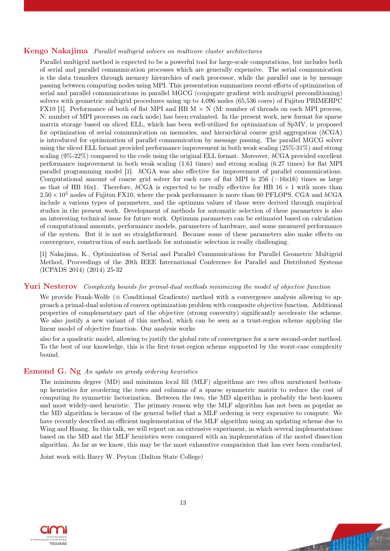#### Kengo Nakajima Parallel multigrid solvers on multicore cluster architectures

Parallel multigrid method is expected to be a powerful tool for large-scale computations, but includes both of serial and parallel communication processes which are generally expensive. The serial communication is the data transfers through memory hierarchies of each processor, while the parallel one is by message passing between computing nodes using MPI. This presentation summarizes recent efforts of optimization of serial and parallel communications in parallel MGCG (conjugate gradient with multigrid preconditioning) solvers with geometric multigrid procedures using up to 4,096 nodes (65,536 cores) of Fujitsu PRIMEHPC FX10 [1]. Performance of both of flat MPI and HB  $M \times N$  (M: number of threads on each MPI process, N: number of MPI processes on each node) has been evaluated. In the present work, new format for sparse matrix storage based on sliced ELL, which has been well-utilized for optimization of SpMV, is proposed for optimization of serial communication on memories, and hierarchical coarse grid aggregation (hCGA) is introduced for optimization of parallel communication by message passing. The parallel MGCG solver using the sliced ELL format provided performance improvement in both weak scaling (25%-31%) and strong scaling (9%-22%) compared to the code using the original ELL format. Moreover, hCGA provided excellent performance improvement in both weak scaling (1.61 times) and strong scaling (6.27 times) for flat MPI parallel programming model [1]. hCGA was also effective for improvement of parallel communications. Computational amount of coarse grid solver for each core of flat MPI is  $256$  (=16x16) times as large as that of HB 16x1. Therefore, hCGA is expected to be really effective for HB  $16 \times 1$  with more than  $2.50 \times 10^5$  nodes of Fujitsu FX10, where the peak performance is more than 60 PFLOPS. CGA and hCGA include a various types of parameters, and the optimum values of those were derived through empirical studies in the present work. Development of methods for automatic selection of these parameters is also an interesting technical issue for future work. Optimum parameters can be estimated based on calculation of computational amounts, performance models, parameters of hardware, and some measured performance of the system. But it is not so straightforward. Because some of these parameters also make effects on convergence, construction of such methods for automatic selection is really challenging.

[1] Nakajima, K., Optimization of Serial and Parallel Communications for Parallel Geometric Multigrid Method, Proceedings of the 20th IEEE International Conference for Parallel and Distributed Systems (ICPADS 2014) (2014) 25-32

#### Yuri Nesterov Complexity bounds for primal-dual methods minimizing the model of objective function

We provide Frank-Wolfe ( $\equiv$  Conditional Gradients) method with a convergence analysis allowing to approach a primal-dual solution of convex optimization problem with composite objective function. Additional properties of complementary part of the objective (strong convexity) significantly accelerate the scheme. We also justify a new variant of this method, which can be seen as a trust-region scheme applying the linear model of objective function. Our analysis works

also for a quadratic model, allowing to justify the global rate of convergence for a new second-order method. To the best of our knowledge, this is the first trust-region scheme supported by the worst-case complexity bound.

#### Esmond G. Ng An update on greedy ordering heuristics

The minimum degree (MD) and minimum local fill (MLF) algorithms are two often mentioned bottomup heuristics for reordering the rows and columns of a sparse symmetric matrix to reduce the cost of computing its symmetric factorization. Between the two, the MD algorithm is probably the best-known and most widely-used heuristic. The primary reason why the MLF algorithm has not been as popular as the MD algorithm is because of the general belief that a MLF ordering is very expensive to compute. We have recently described an efficient implementation of the MLF algorithm using an updating scheme due to Wing and Huang. In this talk, we will report on an extensive experiment, in which several implementations based on the MD and the MLF heuristics were compared with an implementation of the nested dissection algorithm. As far as we know, this may be the most exhaustive comparision that has ever been conducted.

Joint work with Barry W. Peyton (Dalton State College)



the Way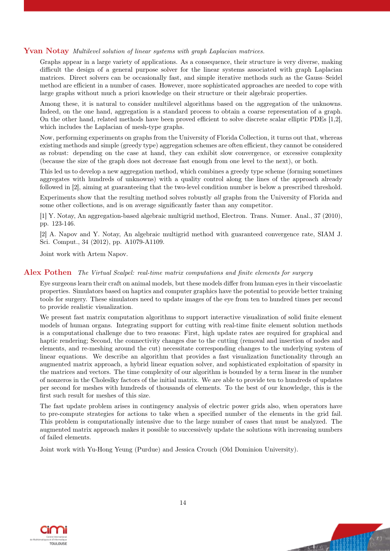#### Yvan Notay Multilevel solution of linear systems with graph Laplacian matrices.

Graphs appear in a large variety of applications. As a consequence, their structure is very diverse, making difficult the design of a general purpose solver for the linear systems associated with graph Laplacian matrices. Direct solvers can be occasionally fast, and simple iterative methods such as the Gauss–Seidel method are efficient in a number of cases. However, more sophisticated approaches are needed to cope with large graphs without much a priori knowledge on their structure or their algebraic properties.

Among these, it is natural to consider multilevel algorithms based on the aggregation of the unknowns. Indeed, on the one hand, aggregation is a standard process to obtain a coarse representation of a graph. On the other hand, related methods have been proved efficient to solve discrete scalar elliptic PDEs [1,2], which includes the Laplacian of mesh-type graphs.

Now, performing experiments on graphs from the University of Florida Collection, it turns out that, whereas existing methods and simple (greedy type) aggregation schemes are often efficient, they cannot be considered as robust: depending on the case at hand, they can exhibit slow convergence, or excessive complexity (because the size of the graph does not decrease fast enough from one level to the next), or both.

This led us to develop a new aggregation method, which combines a greedy type scheme (forming sometimes aggregates with hundreds of unknowns) with a quality control along the lines of the approach already followed in [2], aiming at guaranteeing that the two-level condition number is below a prescribed threshold.

Experiments show that the resulting method solves robustly all graphs from the University of Florida and some other collections, and is on average significantly faster than any competitor.

[1] Y. Notay, An aggregation-based algebraic multigrid method, Electron. Trans. Numer. Anal., 37 (2010), pp. 123-146.

[2] A. Napov and Y. Notay, An algebraic multigrid method with guaranteed convergence rate, SIAM J. Sci. Comput., 34 (2012), pp. A1079-A1109.

Joint work with Artem Napov.

#### Alex Pothen The Virtual Scalpel: real-time matrix computations and finite elements for surgery

Eye surgeons learn their craft on animal models, but these models differ from human eyes in their viscoelastic properties. Simulators based on haptics and computer graphics have the potential to provide better training tools for surgery. These simulators need to update images of the eye from ten to hundred times per second to provide realistic visualization.

We present fast matrix computation algorithms to support interactive visualization of solid finite element models of human organs. Integrating support for cutting with real-time finite element solution methods is a computational challenge due to two reasons: First, high update rates are required for graphical and haptic rendering; Second, the connectivity changes due to the cutting (removal and insertion of nodes and elements, and re-meshing around the cut) necessitate corresponding changes to the underlying system of linear equations. We describe an algorithm that provides a fast visualization functionality through an augmented matrix approach, a hybrid linear equation solver, and sophisticated exploitation of sparsity in the matrices and vectors. The time complexity of our algorithm is bounded by a term linear in the number of nonzeros in the Choleslky factors of the initial matrix. We are able to provide ten to hundreds of updates per second for meshes with hundreds of thousands of elements. To the best of our knowledge, this is the first such result for meshes of this size.

The fast update problem arises in contingency analysis of electric power grids also, when operators have to pre-compute strategies for actions to take when a specified number of the elements in the grid fail. This problem is computationally intensive due to the large number of cases that must be analyzed. The augmented matrix approach makes it possible to successively update the solutions with increasing numbers of failed elements.

Joint work with Yu-Hong Yeung (Purdue) and Jessica Crouch (Old Dominion University).



**Cong Million**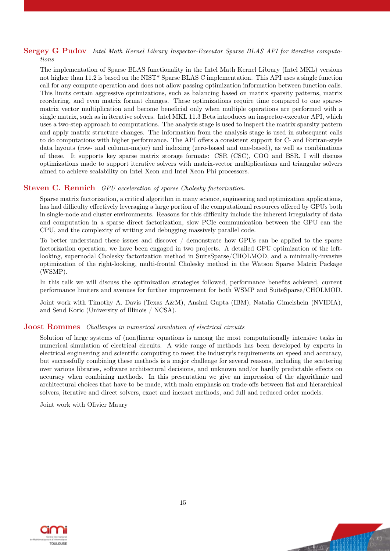# Sergey G Pudov Intel Math Kernel Library Inspector-Executor Sparse BLAS API for iterative computa-

tions

The implementation of Sparse BLAS functionality in the Intel Math Kernel Library (Intel MKL) versions not higher than 11.2 is based on the NIST\* Sparse BLAS C implementation. This API uses a single function call for any compute operation and does not allow passing optimization information between function calls. This limits certain aggressive optimizations, such as balancing based on matrix sparsity patterns, matrix reordering, and even matrix format changes. These optimizations require time compared to one sparsematrix vector multiplication and become beneficial only when multiple operations are performed with a single matrix, such as in iterative solvers. Intel MKL 11.3 Beta introduces an inspector-executor API, which uses a two-step approach to computations. The analysis stage is used to inspect the matrix sparsity pattern and apply matrix structure changes. The information from the analysis stage is used in subsequent calls to do computations with higher performance. The API offers a consistent support for C- and Fortran-style data layouts (row- and column-major) and indexing (zero-based and one-based), as well as combinations of these. It supports key sparse matrix storage formats: CSR (CSC), COO and BSR. I will discuss optimizations made to support iterative solvers with matrix-vector multiplications and triangular solvers aimed to achieve scalability on Intel Xeon and Intel Xeon Phi processors.

#### Steven C. Rennich GPU acceleration of sparse Cholesky factorization.

Sparse matrix factorization, a critical algorithm in many science, engineering and optimization applications, has had difficulty effectively leveraging a large portion of the computational resources offered by GPUs both in single-node and cluster environments. Reasons for this difficulty include the inherent irregularity of data and computation in a sparse direct factorization, slow PCIe communication between the GPU can the CPU, and the complexity of writing and debugging massively parallel code.

To better understand these issues and discover / demonstrate how GPUs can be applied to the sparse factorization operation, we have been engaged in two projects. A detailed GPU optimization of the leftlooking, supernodal Cholesky factorization method in SuiteSparse/CHOLMOD, and a minimally-invasive optimization of the right-looking, multi-frontal Cholesky method in the Watson Sparse Matrix Package (WSMP).

In this talk we will discuss the optimization strategies followed, performance benefits achieved, current performance limiters and avenues for further improvement for both WSMP and SuiteSparse/CHOLMOD.

Joint work with Timothy A. Davis (Texas A&M), Anshul Gupta (IBM), Natalia Gimelshein (NVIDIA), and Send Koric (University of Illinois / NCSA).

#### **Joost Rommes** Challenges in numerical simulation of electrical circuits

Solution of large systems of (non)linear equations is among the most computationally intensive tasks in numerical simulation of electrical circuits. A wide range of methods has been developed by experts in electrical engineering and scientific computing to meet the industry's requirements on speed and accuracy, but successfully combining these methods is a major challenge for several reasons, including the scattering over various libraries, software architectural decisions, and unknown and/or hardly predictable effects on accuracy when combining methods. In this presentation we give an impression of the algorithmic and architectural choices that have to be made, with main emphasis on trade-offs between flat and hierarchical solvers, iterative and direct solvers, exact and inexact methods, and full and reduced order models.

Joint work with Olivier Maury





**Charling**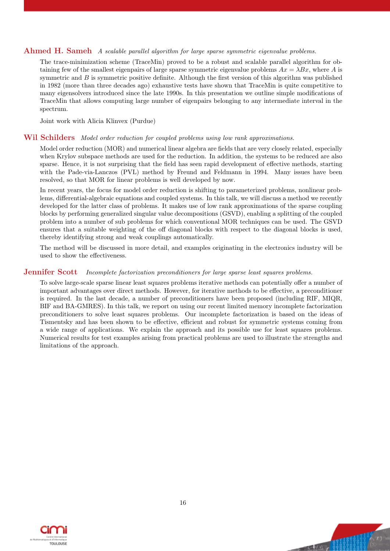#### Ahmed H. Sameh A scalable parallel algorithm for large sparse symmetric eigenvalue problems.

The trace-minimization scheme (TraceMin) proved to be a robust and scalable parallel algorithm for obtaining few of the smallest eigenpairs of large sparse symmetric eigenvalue problems  $Ax = \lambda Bx$ , where A is symmetric and  $B$  is symmetric positive definite. Although the first version of this algorithm was published in 1982 (more than three decades ago) exhaustive tests have shown that TraceMin is quite competitive to many eigensolvers introduced since the late 1990s. In this presentation we outline simple modifications of TraceMin that allows computing large number of eigenpairs belonging to any intermediate interval in the spectrum.

Joint work with Alicia Klinvex (Purdue)

#### Wil Schilders Model order reduction for coupled problems using low rank approximations.

Model order reduction (MOR) and numerical linear algebra are fields that are very closely related, especially when Krylov subspace methods are used for the reduction. In addition, the systems to be reduced are also sparse. Hence, it is not surprising that the field has seen rapid development of effective methods, starting with the Pade-via-Lanczos (PVL) method by Freund and Feldmann in 1994. Many issues have been resolved, so that MOR for linear problems is well developed by now.

In recent years, the focus for model order reduction is shifting to parameterized problems, nonlinear problems, differential-algebraic equations and coupled systems. In this talk, we will discuss a method we recently developed for the latter class of problems. It makes use of low rank approximations of the sparse coupling blocks by performing generalized singular value decompositions (GSVD), enabling a splitting of the coupled problem into a number of sub problems for which conventional MOR techniques can be used. The GSVD ensures that a suitable weighting of the off diagonal blocks with respect to the diagonal blocks is used, thereby identifying strong and weak couplings automatically.

The method will be discussed in more detail, and examples originating in the electronics industry will be used to show the effectiveness.

#### **Jennifer Scott** Incomplete factorization preconditioners for large sparse least squares problems.

To solve large-scale sparse linear least squares problems iterative methods can potentially offer a number of important advantages over direct methods. However, for iterative methods to be effective, a preconditioner is required. In the last decade, a number of preconditioners have been proposed (including RIF, MIQR, BIF and BA-GMRES). In this talk, we report on using our recent limited memory incomplete factorization preconditioners to solve least squares problems. Our incomplete factorization is based on the ideas of Tismentsky and has been shown to be effective, efficient and robust for symmetric systems coming from a wide range of applications. We explain the approach and its possible use for least squares problems. Numerical results for test examples arising from practical problems are used to illustrate the strengths and limitations of the approach.



 $\overline{u}$  ,  $\overline{u}$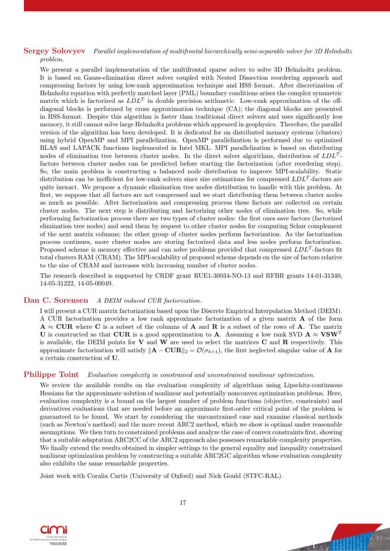# Sergey Solovyev Parallel implementation of multifrontal hierarchically semi-separable solver for 3D Helmholtz

problem.

We present a parallel implementation of the multifrontal sparse solver to solve 3D Helmholtz problem. It is based on Gauss-elimination direct solver coupled with Nested Dissection reordering approach and compressing factors by using low-rank approximation technique and HSS format. After discretization of Helmholtz equation with perfectly matched layer (PML) boundary conditions arises the complex symmetric matrix which is factorized as  $LDL<sup>T</sup>$  in double precision arithmetic. Low-rank approximation of the offdiagonal blocks is performed by cross approximation technique (CA); the diagonal blocks are presented in HSS-format. Despite this algorithm is faster than traditional direct solvers and uses significantly less memory, it still cannot solve large Helmholtz problems which appeared in geophysics. Therefore, the parallel version of the algorithm has been developed. It is dedicated for on distributed memory systems (clusters) using hybrid OpenMP and MPI parallelization. OpenMP parallelization is performed due to optimized BLAS and LAPACK functions implemented in Intel MKL. MPI parallelization is based on distributing nodes of elimination tree between cluster nodes. In the direct solver algorithms, distribution of  $LDL<sup>T</sup>$ factors between cluster nodes can be predicted before starting the factorization (after reordering step). So, the main problem is constructing a balanced node distribution to improve MPI-scalability. Static distribution can be inefficient for low-rank solvers since size estimations for compressed  $LDL<sup>T</sup>$ -factors are quite inexact. We propose a dynamic elimination tree nodes distribution to handle with this problem. At first, we suppose that all factors are not compressed and we start distributing them between cluster nodes as much as possible. After factorization and compressing process these factors are collected on certain cluster nodes. The next step is distributing and factorizing other nodes of elimination tree. So, while performing factorization process there are two types of cluster nodes: the first ones save factors (factorized elimination tree nodes) and send them by request to other cluster nodes for computing Schur complement of the next matrix columns; the other group of cluster nodes perform factorization. As the factorization process continues, more cluster nodes are storing factorized data and less nodes perform factorization. Proposed scheme is memory effective and can solve problems provided that compressed  $LDL<sup>T</sup>$ -factors fit total clusters RAM (CRAM). The MPI-scalability of proposed scheme depends on the size of factors relative to the size of CRAM and increases with increasing number of cluster nodes.

The research described is supported by CRDF grant RUE1-30034-NO-13 and RFBR grants 14-01-31340, 14-05-31222, 14-05-00049.

#### Dan C. Sorensen A DEIM induced CUR factorization.

I will present a CUR matrix factorization based upon the Discrete Empirical Interpolation Method (DEIM). A CUR factorization provides a low rank approximate factorization of a given matrix A of the form  $A \approx \text{CUR}$  where C is a subset of the columns of A and R is a subset of the rows of A. The matrix U is constructed so that CUR is a good approximation to A. Assuming a low rank SVD  $A \approx VSW^T$ is available, the DEIM points for  $V$  and  $W$  are used to select the matrices  $C$  and  $R$  respectively. This approximate factorization will satisfy  $\|\mathbf{A} - \mathbf{C} \mathbf{U} \mathbf{R}\|_2 = \mathcal{O}(\sigma_{k+1})$ , the first neglected singular value of **A** for a certain construction of U.

#### Philippe Toint Evaluation complexity in constrained and unconstrained nonlinear optimization.

We review the available results on the evaluation complexity of algorithms using Lipschitz-continuous Hessians for the approximate solution of nonlinear and potentially nonconvex optimization problems. Here, evaluation complexity is a bound on the largest number of problem functions (objective, constraints) and derivatives evaluations that are needed before an approximate first-order critical point of the problem is guaranteed to be found. We start by considering the unconstrained case and examine classical methods (such as Newton's method) and the more recent ARC2 method, which we show is optimal under reasonable assumptions. We then turn to constrained problems and analyze the case of convex constraints first, showing that a suitable adaptation ARC2CC of the ARC2 approach also possesses remarkable complexity properties. We finally extend the results obtained in simpler settings to the general equality and inequality constrained nonlinear optimization problem by constructing a suitable ARC2GC algorithm whose evaluation complexity also exhibits the same remarkable properties.

Joint work with Coralia Cartis (University of Oxford) and Nick Gould (STFC-RAL).



Char He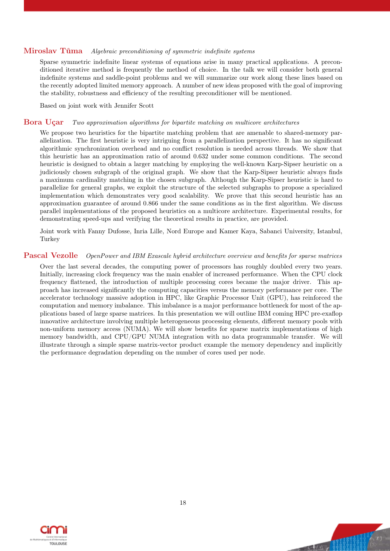#### Miroslav Tůma Algebraic preconditioning of symmetric indefinite systems

Sparse symmetric indefinite linear systems of equations arise in many practical applications. A preconditioned iterative method is frequently the method of choice. In the talk we will consider both general indefinite systems and saddle-point problems and we will summarize our work along these lines based on the recently adopted limited memory approach. A number of new ideas proposed with the goal of improving the stability, robustness and efficiency of the resulting preconditioner will be mentioned.

Based on joint work with Jennifer Scott

#### Bora Uçar Two approximation algorithms for bipartite matching on multicore architectures

We propose two heuristics for the bipartite matching problem that are amenable to shared-memory parallelization. The first heuristic is very intriguing from a parallelization perspective. It has no significant algorithmic synchronization overhead and no conflict resolution is needed across threads. We show that this heuristic has an approximation ratio of around 0.632 under some common conditions. The second heuristic is designed to obtain a larger matching by employing the well-known Karp-Sipser heuristic on a judiciously chosen subgraph of the original graph. We show that the Karp-Sipser heuristic always finds a maximum cardinality matching in the chosen subgraph. Although the Karp-Sipser heuristic is hard to parallelize for general graphs, we exploit the structure of the selected subgraphs to propose a specialized implementation which demonstrates very good scalability. We prove that this second heuristic has an approximation guarantee of around 0.866 under the same conditions as in the first algorithm. We discuss parallel implementations of the proposed heuristics on a multicore architecture. Experimental results, for demonstrating speed-ups and verifying the theoretical results in practice, are provided.

Joint work with Fanny Dufosse, Inria Lille, Nord Europe and Kamer Kaya, Sabanci University, Istanbul, Turkey

#### Pascal Vezolle OpenPower and IBM Exascale hybrid architecture overview and benefits for sparse matrices

Over the last several decades, the computing power of processors has roughly doubled every two years. Initially, increasing clock frequency was the main enabler of increased performance. When the CPU clock frequency flattened, the introduction of multiple processing cores became the major driver. This approach has increased significantly the computing capacities versus the memory performance per core. The accelerator technology massive adoption in HPC, like Graphic Processor Unit (GPU), has reinforced the computation and memory imbalance. This imbalance is a major performance bottleneck for most of the applications based of large sparse matrices. In this presentation we will outline IBM coming HPC pre-exaflop innovative architecture involving multiple heterogeneous processing elements, different memory pools with non-uniform memory access (NUMA). We will show benefits for sparse matrix implementations of high memory bandwidth, and CPU/GPU NUMA integration with no data programmable transfer. We will illustrate through a simple sparse matrix-vector product example the memory dependency and implicitly the performance degradation depending on the number of cores used per node.

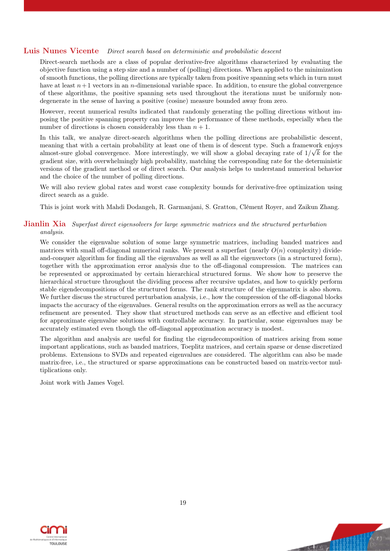#### Luis Nunes Vicente Direct search based on deterministic and probabilistic descent

Direct-search methods are a class of popular derivative-free algorithms characterized by evaluating the objective function using a step size and a number of (polling) directions. When applied to the minimization of smooth functions, the polling directions are typically taken from positive spanning sets which in turn must have at least  $n+1$  vectors in an n-dimensional variable space. In addition, to ensure the global convergence of these algorithms, the positive spanning sets used throughout the iterations must be uniformly nondegenerate in the sense of having a positive (cosine) measure bounded away from zero.

However, recent numerical results indicated that randomly generating the polling directions without imposing the positive spanning property can improve the performance of these methods, especially when the number of directions is chosen considerably less than  $n + 1$ .

In this talk, we analyze direct-search algorithms when the polling directions are probabilistic descent, meaning that with a certain probability at least one of them is of descent type. Such a framework enjoys almost-sure global convergence. More interestingly, we will show a global decaying rate of  $1/\sqrt{k}$  for the gradient size, with overwhelmingly high probability, matching the corresponding rate for the deterministic versions of the gradient method or of direct search. Our analysis helps to understand numerical behavior and the choice of the number of polling directions.

We will also review global rates and worst case complexity bounds for derivative-free optimization using direct search as a guide.

This is joint work with Mahdi Dodangeh, R. Garmanjani, S. Gratton, Clément Royer, and Zaikun Zhang.

#### **Jianlin Xia** Superfast direct eigensolvers for large symmetric matrices and the structured perturbation analysis.

We consider the eigenvalue solution of some large symmetric matrices, including banded matrices and matrices with small off-diagonal numerical ranks. We present a superfast (nearly  $O(n)$  complexity) divideand-conquer algorithm for finding all the eigenvalues as well as all the eigenvectors (in a structured form), together with the approximation error analysis due to the off-diagonal compression. The matrices can be represented or approximated by certain hierarchical structured forms. We show how to preserve the hierarchical structure throughout the dividing process after recursive updates, and how to quickly perform stable eigendecompositions of the structured forms. The rank structure of the eigenmatrix is also shown. We further discuss the structured perturbation analysis, i.e., how the compression of the off-diagonal blocks impacts the accuracy of the eigenvalues. General results on the approximation errors as well as the accuracy refinement are presented. They show that structured methods can serve as an effective and efficient tool for approximate eigenvalue solutions with controllable accuracy. In particular, some eigenvalues may be accurately estimated even though the off-diagonal approximation accuracy is modest.

The algorithm and analysis are useful for finding the eigendecomposition of matrices arising from some important applications, such as banded matrices, Toeplitz matrices, and certain sparse or dense discretized problems. Extensions to SVDs and repeated eigenvalues are considered. The algorithm can also be made matrix-free, i.e., the structured or sparse approximations can be constructed based on matrix-vector multiplications only.

Joint work with James Vogel.



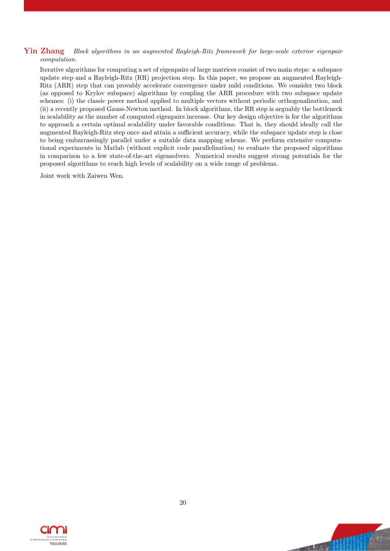#### Yin Zhang Block algorithms in an augmented Rayleigh-Ritz framework for large-scale exterior eigenpair computation.

Iterative algorithms for computing a set of eigenpairs of large matrices consist of two main steps: a subspace update step and a Rayleigh-Ritz (RR) projection step. In this paper, we propose an augmented Rayleigh-Ritz (ARR) step that can provably accelerate convergence under mild conditions. We consider two block (as opposed to Krylov subspace) algorithms by coupling the ARR procedure with two subspace update schemes: (i) the classic power method applied to multiple vectors without periodic orthogonalization, and (ii) a recently proposed Gauss-Newton method. In block algorithms, the RR step is arguably the bottleneck in scalability as the number of computed eigenpairs increase. Our key design objective is for the algorithms to approach a certain optimal scalability under favorable conditions. That is, they should ideally call the augmented Rayleigh-Ritz step once and attain a sufficient accuracy, while the subspace update step is close to being embarrassingly parallel under a suitable data mapping scheme. We perform extensive computational experiments in Matlab (without explicit code parallelization) to evaluate the proposed algorithms in comparison to a few state-of-the-art eigensolvers. Numerical results suggest strong potentials for the proposed algorithms to reach high levels of scalability on a wide range of problems.

Joint work with Zaiwen Wen.



Va, Wil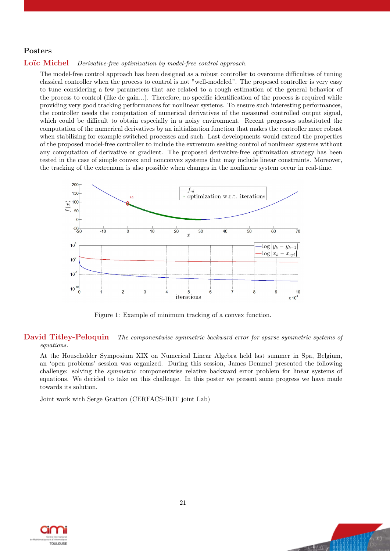#### Posters

#### Loïc Michel Derivative-free optimization by model-free control approach.

The model-free control approach has been designed as a robust controller to overcome difficulties of tuning classical controller when the process to control is not "well-modeled". The proposed controller is very easy to tune considering a few parameters that are related to a rough estimation of the general behavior of the process to control (like dc gain...). Therefore, no specific identification of the process is required while providing very good tracking performances for nonlinear systems. To ensure such interesting performances, the controller needs the computation of numerical derivatives of the measured controlled output signal, which could be difficult to obtain especially in a noisy environment. Recent progresses substituted the computation of the numerical derivatives by an initialization function that makes the controller more robust when stabilizing for example switched processes and such. Last developments would extend the properties of the proposed model-free controller to include the extremum seeking control of nonlinear systems without any computation of derivative or gradient. The proposed derivative-free optimization strategy has been tested in the case of simple convex and nonconvex systems that may include linear constraints. Moreover, the tracking of the extremum is also possible when changes in the nonlinear system occur in real-time.



Figure 1: Example of minimum tracking of a convex function.

#### David Titley-Peloquin The componentwise symmetric backward error for sparse symmetric systems of equations.

At the Householder Symposium XIX on Numerical Linear Algebra held last summer in Spa, Belgium, an 'open problems' session was organized. During this session, James Demmel presented the following challenge: solving the *symmetric* componentwise relative backward error problem for linear systems of equations. We decided to take on this challenge. In this poster we present some progress we have made towards its solution.

Joint work with Serge Gratton (CERFACS-IRIT joint Lab)